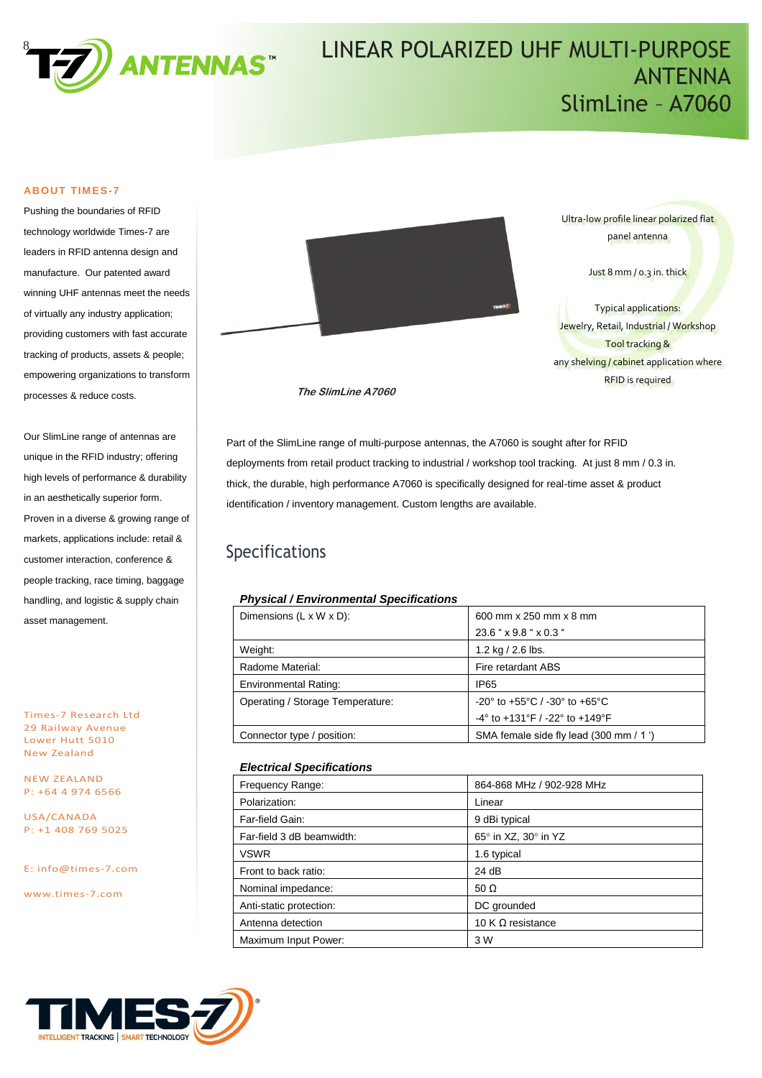

# LINEAR POLARIZED UHF MULTI-PURPOSE LINEAR POLARIZED UHF MULTI-PURPOSE ANTENNA SlimLine – A7060 SlimLine – A7060

#### **ABOUT TIMES-7**

Pushing the boundaries of RFID technology worldwide Times-7 are leaders in RFID antenna design and manufacture. Our patented award winning UHF antennas meet the needs of virtually any industry application; providing customers with fast accurate tracking of products, assets & people; empowering organizations to transform processes & reduce costs.

Our SlimLine range of antennas are unique in the RFID industry; offering high levels of performance & durability in an aesthetically superior form. Proven in a diverse & growing range of markets, applications include: retail & customer interaction, conference & people tracking, race timing, baggage handling, and logistic & supply chain asset management.

Times-7 Research Ltd 29 Railway Avenue Lower Hutt 5010 New Zealand

NEW ZEALAND P: +64 4 974 6566

USA/CANADA P: +1 408 769 5025

E: [info@times-7.com](mailto:info@times-7.com)

www.times-7.com



Ultra-low profile linear polarized flat panel antenna

Just 8 mm / 0.3 in. thick

Typical applications: Jewelry, Retail, Industrial / Workshop Tool tracking & any shelving / cabinet application where RFID is required

**The SlimLine A7060**

Part of the SlimLine range of multi-purpose antennas, the A7060 is sought after for RFID deployments from retail product tracking to industrial / workshop tool tracking. At just 8 mm / 0.3 in. thick, the durable, high performance A7060 is specifically designed for real-time asset & product identification / inventory management. Custom lengths are available.

### Specifications

#### *Physical / Environmental Specifications*

| Dimensions $(L \times W \times D)$ : | 600 mm x 250 mm x 8 mm                                               |  |
|--------------------------------------|----------------------------------------------------------------------|--|
|                                      | 23.6 " x 9.8 " x 0.3 "                                               |  |
| Weight:                              | 1.2 kg $/$ 2.6 lbs.                                                  |  |
| Radome Material:                     | Fire retardant ABS                                                   |  |
| <b>Environmental Rating:</b>         | <b>IP65</b>                                                          |  |
| Operating / Storage Temperature:     | -20° to +55°C / -30° to +65°C                                        |  |
|                                      | $-4^{\circ}$ to $+131^{\circ}$ F / $-22^{\circ}$ to $+149^{\circ}$ F |  |
| Connector type / position:           | SMA female side fly lead (300 mm / 1 ')                              |  |

#### *Electrical Specifications*

| Frequency Range:          | 864-868 MHz / 902-928 MHz |
|---------------------------|---------------------------|
| Polarization:             | Linear                    |
| Far-field Gain:           | 9 dBi typical             |
| Far-field 3 dB beamwidth: | 65° in XZ, 30° in YZ      |
| <b>VSWR</b>               | 1.6 typical               |
| Front to back ratio:      | 24 dB                     |
| Nominal impedance:        | 50 $\Omega$               |
| Anti-static protection:   | DC grounded               |
| Antenna detection         | 10 K $\Omega$ resistance  |
| Maximum Input Power:      | 3 W                       |